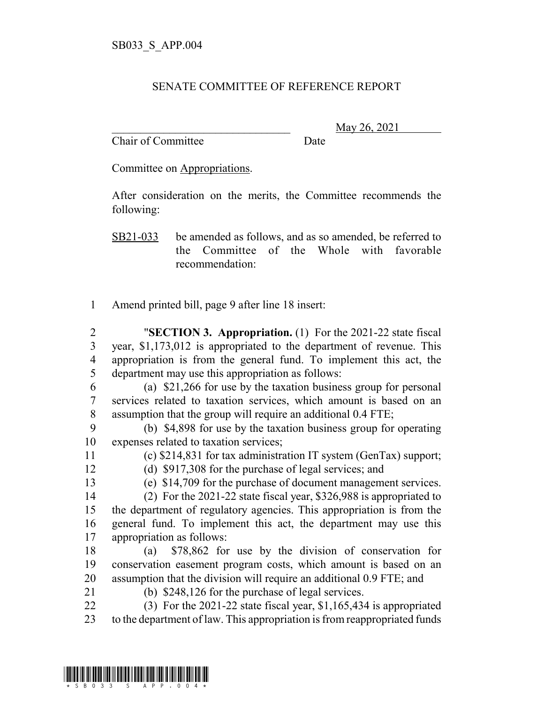## SENATE COMMITTEE OF REFERENCE REPORT

Chair of Committee Date

\_\_\_\_\_\_\_\_\_\_\_\_\_\_\_\_\_\_\_\_\_\_\_\_\_\_\_\_\_\_\_ May 26, 2021

Committee on Appropriations.

After consideration on the merits, the Committee recommends the following:

SB21-033 be amended as follows, and as so amended, be referred to the Committee of the Whole with favorable recommendation:

Amend printed bill, page 9 after line 18 insert:

 "**SECTION 3. Appropriation.** (1) For the 2021-22 state fiscal year, \$1,173,012 is appropriated to the department of revenue. This appropriation is from the general fund. To implement this act, the department may use this appropriation as follows:

- (a) \$21,266 for use by the taxation business group for personal services related to taxation services, which amount is based on an assumption that the group will require an additional 0.4 FTE;
- (b) \$4,898 for use by the taxation business group for operating expenses related to taxation services;
- (c) \$214,831 for tax administration IT system (GenTax) support;

(d) \$917,308 for the purchase of legal services; and

(e) \$14,709 for the purchase of document management services.

- (2) For the 2021-22 state fiscal year, \$326,988 is appropriated to the department of regulatory agencies. This appropriation is from the general fund. To implement this act, the department may use this appropriation as follows:
- (a) \$78,862 for use by the division of conservation for conservation easement program costs, which amount is based on an assumption that the division will require an additional 0.9 FTE; and
- 
- (b) \$248,126 for the purchase of legal services.
- (3) For the 2021-22 state fiscal year, \$1,165,434 is appropriated to the department of law. This appropriation is from reappropriated funds